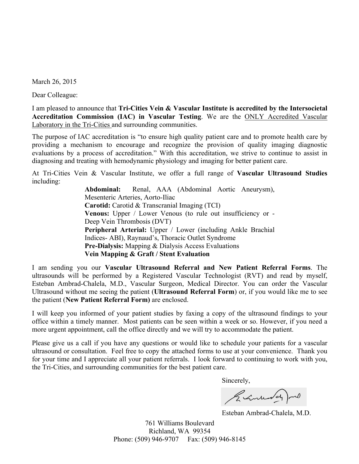March 26, 2015

Dear Colleague:

I am pleased to announce that **Tri-Cities Vein & Vascular Institute is accredited by the Intersocietal Accreditation Commission (IAC) in Vascular Testing**. We are the ONLY Accredited Vascular Laboratory in the Tri-Cities and surrounding communities.

The purpose of IAC accreditation is "to ensure high quality patient care and to promote health care by providing a mechanism to encourage and recognize the provision of quality imaging diagnostic evaluations by a process of accreditation." With this accreditation, we strive to continue to assist in diagnosing and treating with hemodynamic physiology and imaging for better patient care.

At Tri-Cities Vein & Vascular Institute, we offer a full range of **Vascular Ultrasound Studies** including:

> **Abdominal:** Renal, AAA (Abdominal Aortic Aneurysm), Mesenteric Arteries, Aorto-Iliac **Carotid:** Carotid & Transcranial Imaging (TCI) **Venous:** Upper / Lower Venous (to rule out insufficiency or - Deep Vein Thrombosis (DVT) **Peripheral Arterial:** Upper / Lower (including Ankle Brachial Indices- ABI), Raynaud's, Thoracic Outlet Syndrome **Pre-Dialysis:** Mapping & Dialysis Access Evaluations **Vein Mapping & Graft / Stent Evaluation**

I am sending you our **Vascular Ultrasound Referral and New Patient Referral Forms**. The ultrasounds will be performed by a Registered Vascular Technologist (RVT) and read by myself, Esteban Ambrad-Chalela, M.D., Vascular Surgeon, Medical Director. You can order the Vascular Ultrasound without me seeing the patient (**Ultrasound Referral Form**) or, if you would like me to see the patient (**New Patient Referral Form)** are enclosed.

I will keep you informed of your patient studies by faxing a copy of the ultrasound findings to your office within a timely manner. Most patients can be seen within a week or so. However, if you need a more urgent appointment, call the office directly and we will try to accommodate the patient.

Please give us a call if you have any questions or would like to schedule your patients for a vascular ultrasound or consultation. Feel free to copy the attached forms to use at your convenience. Thank you for your time and I appreciate all your patient referrals. I look forward to continuing to work with you, the Tri-Cities, and surrounding communities for the best patient care.

Sincerely,

Remember 20

Esteban Ambrad-Chalela, M.D.

761 Williams Boulevard Richland, WA 99354 Phone: (509) 946-9707 Fax: (509) 946-8145